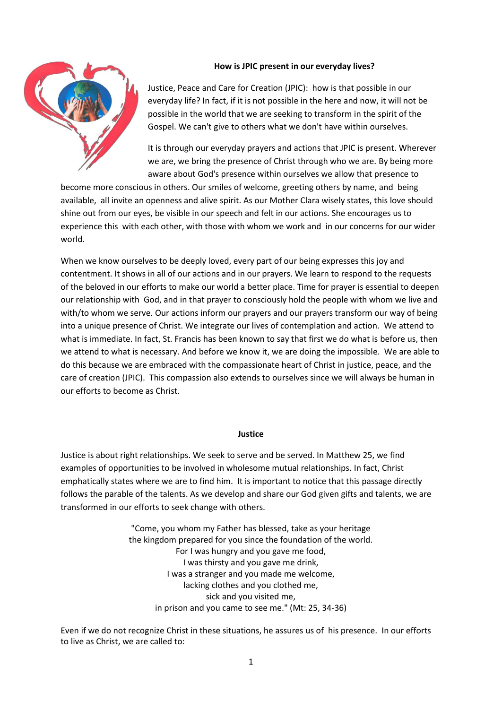# **How is JPIC present in our everyday lives?**



Justice, Peace and Care for Creation (JPIC): how is that possible in our everyday life? In fact, if it is not possible in the here and now, it will not be possible in the world that we are seeking to transform in the spirit of the Gospel. We can't give to others what we don't have within ourselves.

It is through our everyday prayers and actions that JPIC is present. Wherever we are, we bring the presence of Christ through who we are. By being more aware about God's presence within ourselves we allow that presence to

become more conscious in others. Our smiles of welcome, greeting others by name, and being available, all invite an openness and alive spirit. As our Mother Clara wisely states, this love should shine out from our eyes, be visible in our speech and felt in our actions. She encourages us to experience this with each other, with those with whom we work and in our concerns for our wider world.

When we know ourselves to be deeply loved, every part of our being expresses this joy and contentment. It shows in all of our actions and in our prayers. We learn to respond to the requests of the beloved in our efforts to make our world a better place. Time for prayer is essential to deepen our relationship with God, and in that prayer to consciously hold the people with whom we live and with/to whom we serve. Our actions inform our prayers and our prayers transform our way of being into a unique presence of Christ. We integrate our lives of contemplation and action. We attend to what is immediate. In fact, St. Francis has been known to say that first we do what is before us, then we attend to what is necessary. And before we know it, we are doing the impossible. We are able to do this because we are embraced with the compassionate heart of Christ in justice, peace, and the care of creation (JPIC). This compassion also extends to ourselves since we will always be human in our efforts to become as Christ.

### **Justice**

Justice is about right relationships. We seek to serve and be served. In Matthew 25, we find examples of opportunities to be involved in wholesome mutual relationships. In fact, Christ emphatically states where we are to find him. It is important to notice that this passage directly follows the parable of the talents. As we develop and share our God given gifts and talents, we are transformed in our efforts to seek change with others.

> "Come, you whom my Father has blessed, take as your heritage the kingdom prepared for you since the foundation of the world. For I was hungry and you gave me food, I was thirsty and you gave me drink, I was a stranger and you made me welcome, lacking clothes and you clothed me, sick and you visited me, in prison and you came to see me." (Mt: 25, 34-36)

Even if we do not recognize Christ in these situations, he assures us of his presence. In our efforts to live as Christ, we are called to: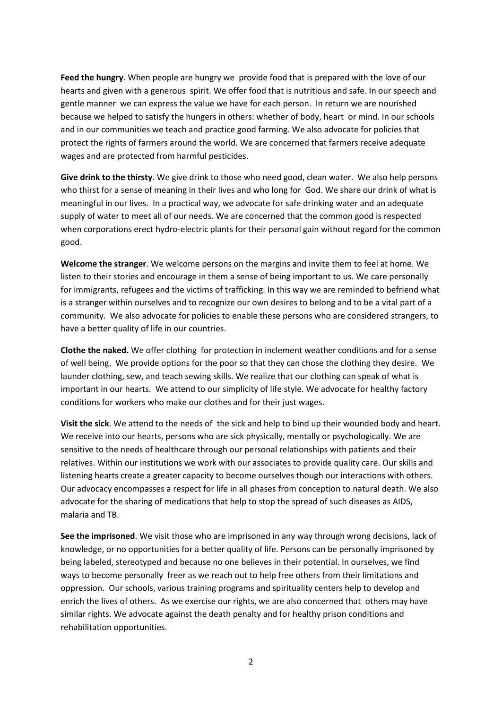**Feed the hungry**. When people are hungry we provide food that is prepared with the love of our hearts and given with a generous spirit. We offer food that is nutritious and safe. In our speech and gentle manner we can express the value we have for each person. In return we are nourished because we helped to satisfy the hungers in others: whether of body, heart or mind. In our schools and in our communities we teach and practice good farming. We also advocate for policies that protect the rights of farmers around the world. We are concerned that farmers receive adequate wages and are protected from harmful pesticides.

**Give drink to the thirsty**. We give drink to those who need good, clean water. We also help persons who thirst for a sense of meaning in their lives and who long for God. We share our drink of what is meaningful in our lives. In a practical way, we advocate for safe drinking water and an adequate supply of water to meet all of our needs. We are concerned that the common good is respected when corporations erect hydro-electric plants for their personal gain without regard for the common good.

**Welcome the stranger**. We welcome persons on the margins and invite them to feel at home. We listen to their stories and encourage in them a sense of being important to us. We care personally for immigrants, refugees and the victims of trafficking. In this way we are reminded to befriend what is a stranger within ourselves and to recognize our own desires to belong and to be a vital part of a community. We also advocate for policies to enable these persons who are considered strangers, to have a better quality of life in our countries.

**Clothe the naked.** We offer clothing for protection in inclement weather conditions and for a sense of well being. We provide options for the poor so that they can chose the clothing they desire. We launder clothing, sew, and teach sewing skills. We realize that our clothing can speak of what is important in our hearts. We attend to our simplicity of life style. We advocate for healthy factory conditions for workers who make our clothes and for their just wages.

**Visit the sick**. We attend to the needs of the sick and help to bind up their wounded body and heart. We receive into our hearts, persons who are sick physically, mentally or psychologically. We are sensitive to the needs of healthcare through our personal relationships with patients and their relatives. Within our institutions we work with our associates to provide quality care. Our skills and listening hearts create a greater capacity to become ourselves though our interactions with others. Our advocacy encompasses a respect for life in all phases from conception to natural death. We also advocate for the sharing of medications that help to stop the spread of such diseases as AIDS, malaria and TB.

**See the imprisoned**. We visit those who are imprisoned in any way through wrong decisions, lack of knowledge, or no opportunities for a better quality of life. Persons can be personally imprisoned by being labeled, stereotyped and because no one believes in their potential. In ourselves, we find ways to become personally freer as we reach out to help free others from their limitations and oppression. Our schools, various training programs and spirituality centers help to develop and enrich the lives of others. As we exercise our rights, we are also concerned that others may have similar rights. We advocate against the death penalty and for healthy prison conditions and rehabilitation opportunities.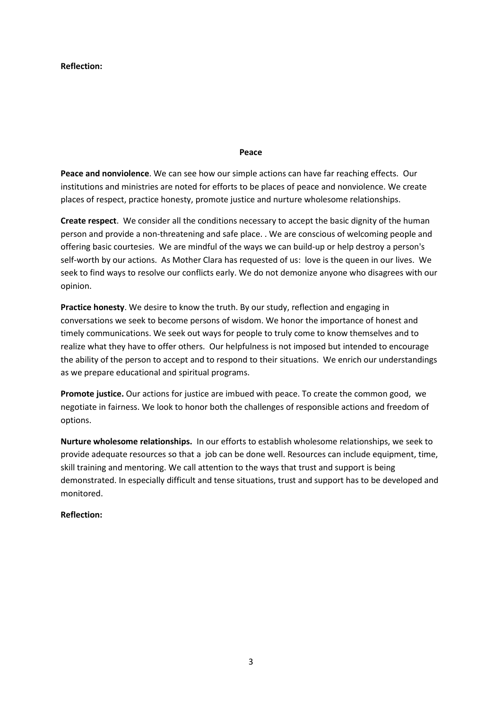### **Reflection:**

#### **Peace**

**Peace and nonviolence**. We can see how our simple actions can have far reaching effects. Our institutions and ministries are noted for efforts to be places of peace and nonviolence. We create places of respect, practice honesty, promote justice and nurture wholesome relationships.

**Create respect**. We consider all the conditions necessary to accept the basic dignity of the human person and provide a non-threatening and safe place. . We are conscious of welcoming people and offering basic courtesies. We are mindful of the ways we can build-up or help destroy a person's self-worth by our actions. As Mother Clara has requested of us: love is the queen in our lives. We seek to find ways to resolve our conflicts early. We do not demonize anyone who disagrees with our opinion.

**Practice honesty**. We desire to know the truth. By our study, reflection and engaging in conversations we seek to become persons of wisdom. We honor the importance of honest and timely communications. We seek out ways for people to truly come to know themselves and to realize what they have to offer others. Our helpfulness is not imposed but intended to encourage the ability of the person to accept and to respond to their situations. We enrich our understandings as we prepare educational and spiritual programs.

**Promote justice.** Our actions for justice are imbued with peace. To create the common good, we negotiate in fairness. We look to honor both the challenges of responsible actions and freedom of options.

**Nurture wholesome relationships.** In our efforts to establish wholesome relationships, we seek to provide adequate resources so that a job can be done well. Resources can include equipment, time, skill training and mentoring. We call attention to the ways that trust and support is being demonstrated. In especially difficult and tense situations, trust and support has to be developed and monitored.

## **Reflection:**